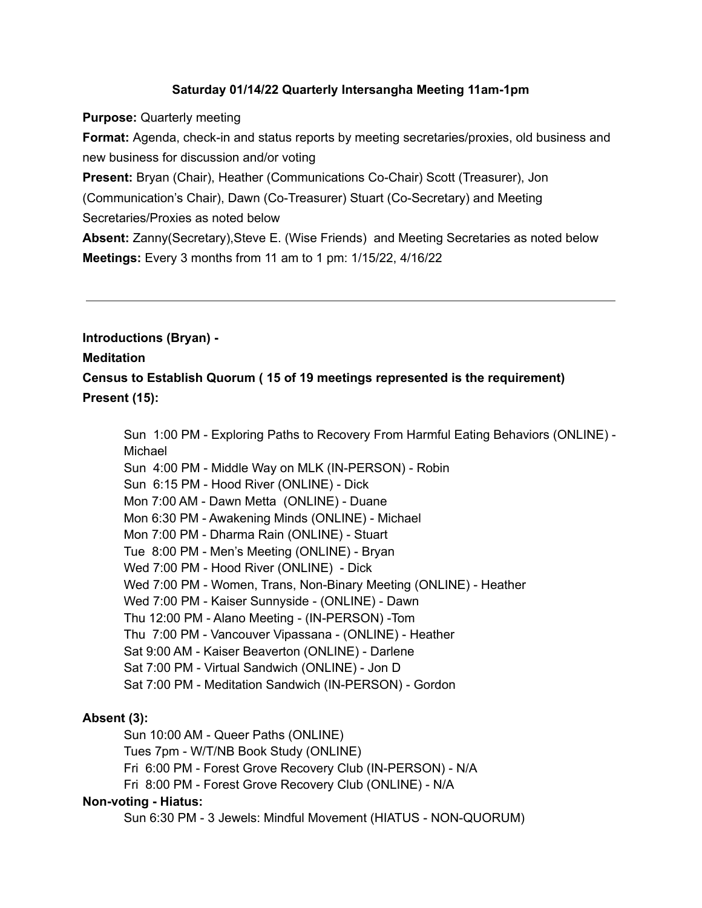### **Saturday 01/14/22 Quarterly Intersangha Meeting 11am-1pm**

**Purpose:** Quarterly meeting

**Format:** Agenda, check-in and status reports by meeting secretaries/proxies, old business and new business for discussion and/or voting

**Present:** Bryan (Chair), Heather (Communications Co-Chair) Scott (Treasurer), Jon

(Communication's Chair), Dawn (Co-Treasurer) Stuart (Co-Secretary) and Meeting Secretaries/Proxies as noted below

**Absent:** Zanny(Secretary),Steve E. (Wise Friends) and Meeting Secretaries as noted below **Meetings:** Every 3 months from 11 am to 1 pm: 1/15/22, 4/16/22

**Introductions (Bryan) -**

#### **Meditation**

**Census to Establish Quorum ( 15 of 19 meetings represented is the requirement) Present (15):**

Sun 1:00 PM - Exploring Paths to Recovery From Harmful Eating Behaviors (ONLINE) - Michael

Sun 4:00 PM - Middle Way on MLK (IN-PERSON) - Robin

- Sun 6:15 PM Hood River (ONLINE) Dick
- Mon 7:00 AM Dawn Metta (ONLINE) Duane

Mon 6:30 PM - Awakening Minds (ONLINE) - Michael

Mon 7:00 PM - Dharma Rain (ONLINE) - Stuart

Tue 8:00 PM - Men's Meeting (ONLINE) - Bryan

- Wed 7:00 PM Hood River (ONLINE) Dick
- Wed 7:00 PM Women, Trans, Non-Binary Meeting (ONLINE) Heather
- Wed 7:00 PM Kaiser Sunnyside (ONLINE) Dawn
- Thu 12:00 PM Alano Meeting (IN-PERSON) -Tom
- Thu 7:00 PM Vancouver Vipassana (ONLINE) Heather
- Sat 9:00 AM Kaiser Beaverton (ONLINE) Darlene
- Sat 7:00 PM Virtual Sandwich (ONLINE) Jon D
- Sat 7:00 PM Meditation Sandwich (IN-PERSON) Gordon

### **Absent (3):**

Sun 10:00 AM - Queer Paths (ONLINE)

Tues 7pm - W/T/NB Book Study (ONLINE)

Fri 6:00 PM - Forest Grove Recovery Club (IN-PERSON) - N/A

Fri 8:00 PM - Forest Grove Recovery Club (ONLINE) - N/A

### **Non-voting - Hiatus:**

Sun 6:30 PM - 3 Jewels: Mindful Movement (HIATUS - NON-QUORUM)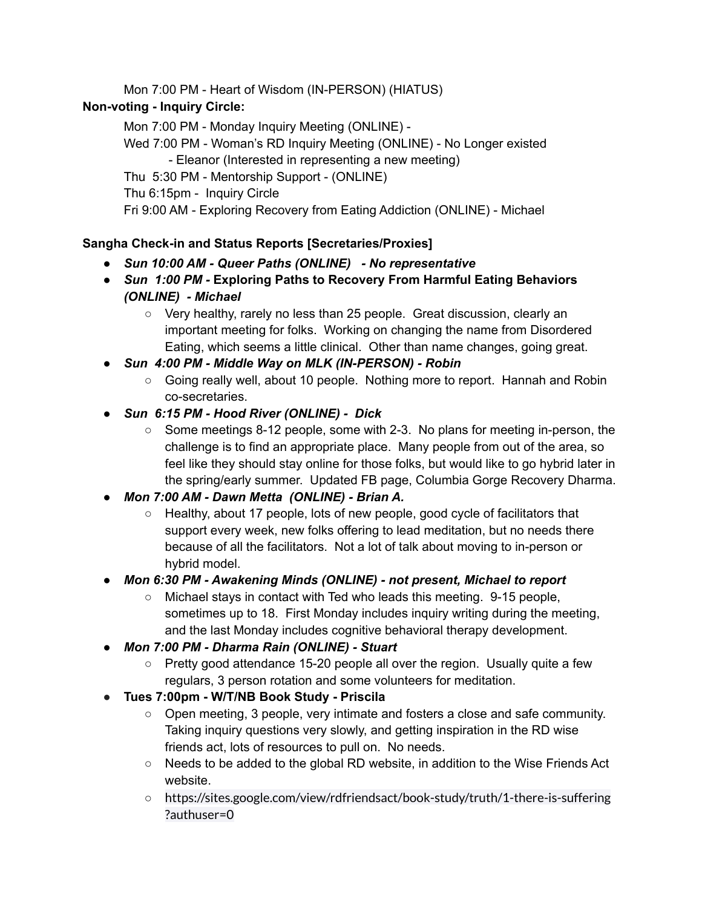Mon 7:00 PM - Heart of Wisdom (IN-PERSON) (HIATUS)

# **Non-voting - Inquiry Circle:**

Mon 7:00 PM - Monday Inquiry Meeting (ONLINE) - Wed 7:00 PM - Woman's RD Inquiry Meeting (ONLINE) - No Longer existed - Eleanor (Interested in representing a new meeting) Thu 5:30 PM - Mentorship Support - (ONLINE) Thu 6:15pm - Inquiry Circle Fri 9:00 AM - Exploring Recovery from Eating Addiction (ONLINE) - Michael

# **Sangha Check-in and Status Reports [Secretaries/Proxies]**

- *● Sun 10:00 AM - Queer Paths (ONLINE) - No representative*
- *● Sun 1:00 PM -* **Exploring Paths to Recovery From Harmful Eating Behaviors** *(ONLINE) - Michael*
	- Very healthy, rarely no less than 25 people. Great discussion, clearly an important meeting for folks. Working on changing the name from Disordered Eating, which seems a little clinical. Other than name changes, going great.
- *● Sun 4:00 PM - Middle Way on MLK (IN-PERSON) - Robin*
	- Going really well, about 10 people. Nothing more to report. Hannah and Robin co-secretaries.
- *● Sun 6:15 PM - Hood River (ONLINE) - Dick*
	- $\circ$  Some meetings 8-12 people, some with 2-3. No plans for meeting in-person, the challenge is to find an appropriate place. Many people from out of the area, so feel like they should stay online for those folks, but would like to go hybrid later in the spring/early summer. Updated FB page, Columbia Gorge Recovery Dharma.
- *● Mon 7:00 AM - Dawn Metta (ONLINE) - Brian A.*
	- Healthy, about 17 people, lots of new people, good cycle of facilitators that support every week, new folks offering to lead meditation, but no needs there because of all the facilitators. Not a lot of talk about moving to in-person or hybrid model.
- *● Mon 6:30 PM - Awakening Minds (ONLINE) - not present, Michael to report*
	- Michael stays in contact with Ted who leads this meeting. 9-15 people, sometimes up to 18. First Monday includes inquiry writing during the meeting, and the last Monday includes cognitive behavioral therapy development.
- *● Mon 7:00 PM - Dharma Rain (ONLINE) - Stuart*
	- $\circ$  Pretty good attendance 15-20 people all over the region. Usually quite a few regulars, 3 person rotation and some volunteers for meditation.
- **● Tues 7:00pm - W/T/NB Book Study - Priscila**
	- Open meeting, 3 people, very intimate and fosters a close and safe community. Taking inquiry questions very slowly, and getting inspiration in the RD wise friends act, lots of resources to pull on. No needs.
	- Needs to be added to the global RD website, in addition to the Wise Friends Act website.
	- https://sites.google.com/view/rdfriendsact/book-study/truth/1-there-is-suffering ?authuser=0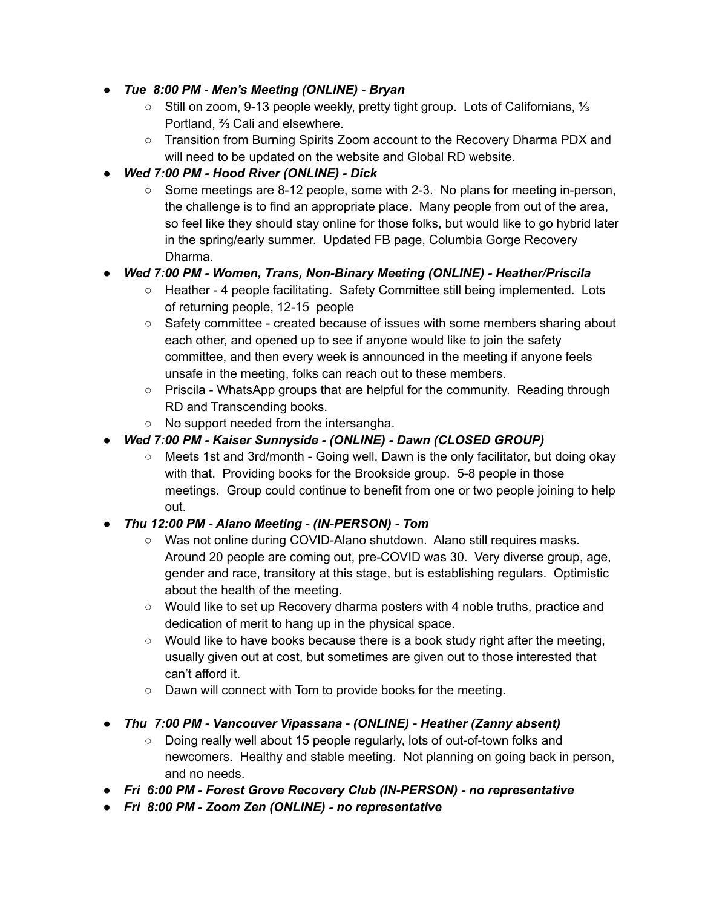- *● Tue 8:00 PM - Men's Meeting (ONLINE) - Bryan*
	- Still on zoom, 9-13 people weekly, pretty tight group. Lots of Californians, ⅓ Portland, ⅔ Cali and elsewhere.
	- Transition from Burning Spirits Zoom account to the Recovery Dharma PDX and will need to be updated on the website and Global RD website.
- *● Wed 7:00 PM - Hood River (ONLINE) - Dick*
	- Some meetings are 8-12 people, some with 2-3. No plans for meeting in-person, the challenge is to find an appropriate place. Many people from out of the area, so feel like they should stay online for those folks, but would like to go hybrid later in the spring/early summer. Updated FB page, Columbia Gorge Recovery Dharma.

# *● Wed 7:00 PM - Women, Trans, Non-Binary Meeting (ONLINE) - Heather/Priscila*

- Heather 4 people facilitating. Safety Committee still being implemented. Lots of returning people, 12-15 people
- Safety committee created because of issues with some members sharing about each other, and opened up to see if anyone would like to join the safety committee, and then every week is announced in the meeting if anyone feels unsafe in the meeting, folks can reach out to these members.
- Priscila WhatsApp groups that are helpful for the community. Reading through RD and Transcending books.
- No support needed from the intersangha.
- *● Wed 7:00 PM - Kaiser Sunnyside - (ONLINE) - Dawn (CLOSED GROUP)*
	- Meets 1st and 3rd/month Going well, Dawn is the only facilitator, but doing okay with that. Providing books for the Brookside group. 5-8 people in those meetings. Group could continue to benefit from one or two people joining to help out.

# *● Thu 12:00 PM - Alano Meeting - (IN-PERSON) - Tom*

- Was not online during COVID-Alano shutdown. Alano still requires masks. Around 20 people are coming out, pre-COVID was 30. Very diverse group, age, gender and race, transitory at this stage, but is establishing regulars. Optimistic about the health of the meeting.
- Would like to set up Recovery dharma posters with 4 noble truths, practice and dedication of merit to hang up in the physical space.
- $\circ$  Would like to have books because there is a book study right after the meeting, usually given out at cost, but sometimes are given out to those interested that can't afford it.
- Dawn will connect with Tom to provide books for the meeting.
- *● Thu 7:00 PM - Vancouver Vipassana - (ONLINE) - Heather (Zanny absent)*
	- Doing really well about 15 people regularly, lots of out-of-town folks and newcomers. Healthy and stable meeting. Not planning on going back in person, and no needs.
- *● Fri 6:00 PM - Forest Grove Recovery Club (IN-PERSON) - no representative*
- *● Fri 8:00 PM - Zoom Zen (ONLINE) - no representative*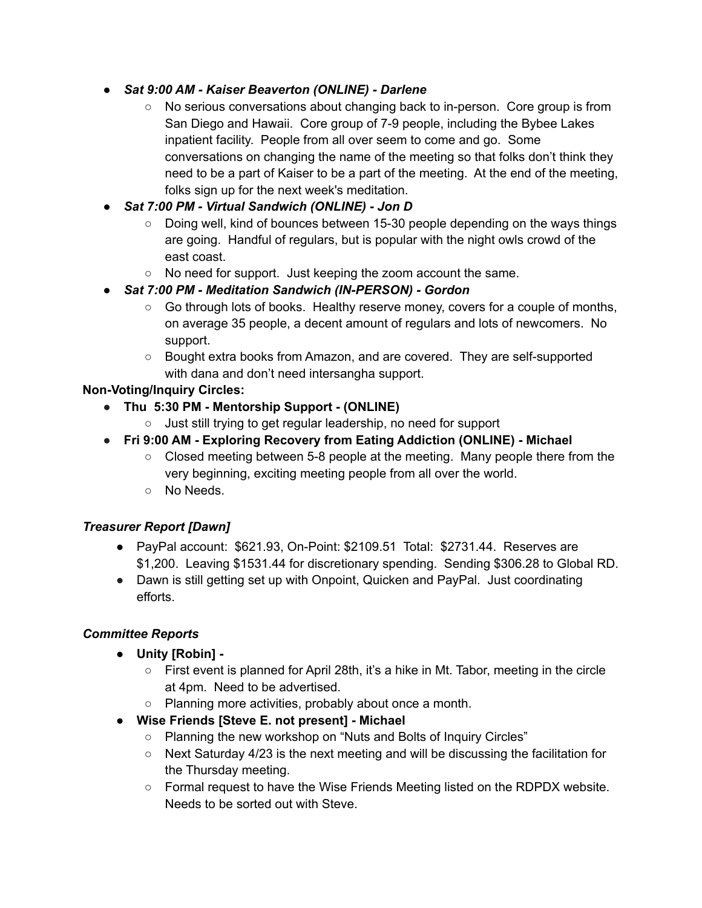- *● Sat 9:00 AM - Kaiser Beaverton (ONLINE) - Darlene*
	- No serious conversations about changing back to in-person. Core group is from San Diego and Hawaii. Core group of 7-9 people, including the Bybee Lakes inpatient facility. People from all over seem to come and go. Some conversations on changing the name of the meeting so that folks don't think they need to be a part of Kaiser to be a part of the meeting. At the end of the meeting, folks sign up for the next week's meditation.
- *● Sat 7:00 PM - Virtual Sandwich (ONLINE) - Jon D*
	- $\circ$  Doing well, kind of bounces between 15-30 people depending on the ways things are going. Handful of regulars, but is popular with the night owls crowd of the east coast.
	- No need for support. Just keeping the zoom account the same.
- *● Sat 7:00 PM - Meditation Sandwich (IN-PERSON) - Gordon*
	- $\circ$  Go through lots of books. Healthy reserve money, covers for a couple of months, on average 35 people, a decent amount of regulars and lots of newcomers. No support.
	- Bought extra books from Amazon, and are covered. They are self-supported with dana and don't need intersangha support.

# **Non-Voting/Inquiry Circles:**

- **● Thu 5:30 PM - Mentorship Support - (ONLINE)**
	- Just still trying to get regular leadership, no need for support
- *●* **Fri 9:00 AM - Exploring Recovery from Eating Addiction (ONLINE) - Michael**
	- $\circ$  Closed meeting between 5-8 people at the meeting. Many people there from the very beginning, exciting meeting people from all over the world.
	- No Needs.

### *Treasurer Report [Dawn]*

- PayPal account: \$621.93, On-Point: \$2109.51 Total: \$2731.44. Reserves are \$1,200. Leaving \$1531.44 for discretionary spending. Sending \$306.28 to Global RD.
- Dawn is still getting set up with Onpoint, Quicken and PayPal. Just coordinating efforts.

### *Committee Reports*

- **Unity [Robin] -**
	- $\circ$  First event is planned for April 28th, it's a hike in Mt. Tabor, meeting in the circle at 4pm. Need to be advertised.
	- Planning more activities, probably about once a month.
- **Wise Friends [Steve E. not present] - Michael**
	- Planning the new workshop on "Nuts and Bolts of Inquiry Circles"
	- $\circ$  Next Saturday 4/23 is the next meeting and will be discussing the facilitation for the Thursday meeting.
	- $\circ$  Formal request to have the Wise Friends Meeting listed on the RDPDX website. Needs to be sorted out with Steve.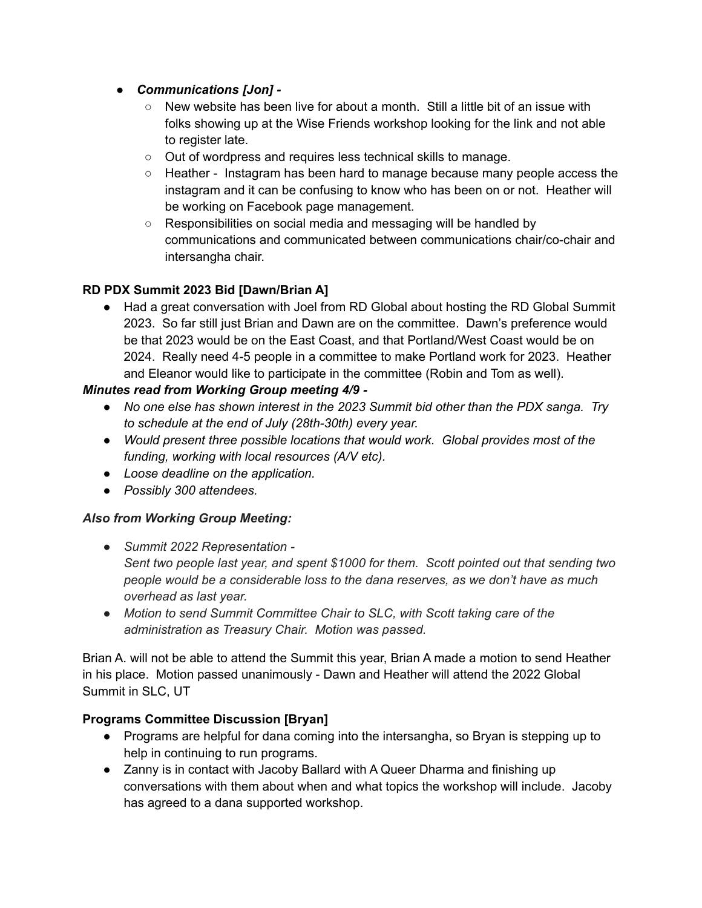- *● Communications [Jon] -*
	- $\circ$  New website has been live for about a month. Still a little bit of an issue with folks showing up at the Wise Friends workshop looking for the link and not able to register late.
	- Out of wordpress and requires less technical skills to manage.
	- Heather Instagram has been hard to manage because many people access the instagram and it can be confusing to know who has been on or not. Heather will be working on Facebook page management.
	- Responsibilities on social media and messaging will be handled by communications and communicated between communications chair/co-chair and intersangha chair.

### **RD PDX Summit 2023 Bid [Dawn/Brian A]**

● Had a great conversation with Joel from RD Global about hosting the RD Global Summit 2023. So far still just Brian and Dawn are on the committee. Dawn's preference would be that 2023 would be on the East Coast, and that Portland/West Coast would be on 2024. Really need 4-5 people in a committee to make Portland work for 2023. Heather and Eleanor would like to participate in the committee (Robin and Tom as well).

### *Minutes read from Working Group meeting 4/9 -*

- *● No one else has shown interest in the 2023 Summit bid other than the PDX sanga. Try to schedule at the end of July (28th-30th) every year.*
- *● Would present three possible locations that would work. Global provides most of the funding, working with local resources (A/V etc).*
- *● Loose deadline on the application.*
- *● Possibly 300 attendees.*

### *Also from Working Group Meeting:*

- *● Summit 2022 Representation - Sent two people last year, and spent \$1000 for them. Scott pointed out that sending two people would be a considerable loss to the dana reserves, as we don't have as much overhead as last year.*
- *● Motion to send Summit Committee Chair to SLC, with Scott taking care of the administration as Treasury Chair. Motion was passed.*

Brian A. will not be able to attend the Summit this year, Brian A made a motion to send Heather in his place. Motion passed unanimously - Dawn and Heather will attend the 2022 Global Summit in SLC, UT

### **Programs Committee Discussion [Bryan]**

- Programs are helpful for dana coming into the intersangha, so Bryan is stepping up to help in continuing to run programs.
- Zanny is in contact with Jacoby Ballard with A Queer Dharma and finishing up conversations with them about when and what topics the workshop will include. Jacoby has agreed to a dana supported workshop.